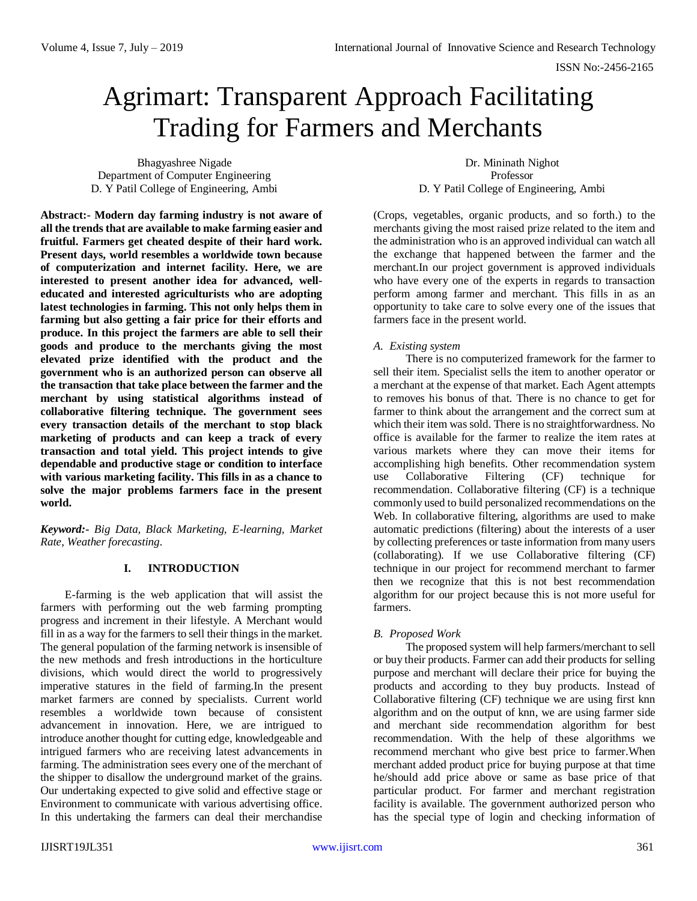# Agrimart: Transparent Approach Facilitating Trading for Farmers and Merchants

Bhagyashree Nigade Department of Computer Engineering D. Y Patil College of Engineering, Ambi

Dr. Mininath Nighot Professor D. Y Patil College of Engineering, Ambi

**Abstract:- Modern day farming industry is not aware of all the trends that are available to make farming easier and fruitful. Farmers get cheated despite of their hard work. Present days, world resembles a worldwide town because of computerization and internet facility. Here, we are interested to present another idea for advanced, welleducated and interested agriculturists who are adopting latest technologies in farming. This not only helps them in farming but also getting a fair price for their efforts and produce. In this project the farmers are able to sell their goods and produce to the merchants giving the most elevated prize identified with the product and the government who is an authorized person can observe all the transaction that take place between the farmer and the merchant by using statistical algorithms instead of collaborative filtering technique. The government sees every transaction details of the merchant to stop black marketing of products and can keep a track of every transaction and total yield. This project intends to give dependable and productive stage or condition to interface with various marketing facility. This fills in as a chance to solve the major problems farmers face in the present world.**

*Keyword:- Big Data, Black Marketing, E-learning, Market Rate, Weather forecasting.*

## **I. INTRODUCTION**

E-farming is the web application that will assist the farmers with performing out the web farming prompting progress and increment in their lifestyle. A Merchant would fill in as a way for the farmers to sell their things in the market. The general population of the farming network is insensible of the new methods and fresh introductions in the horticulture divisions, which would direct the world to progressively imperative statures in the field of farming.In the present market farmers are conned by specialists. Current world resembles a worldwide town because of consistent advancement in innovation. Here, we are intrigued to introduce another thought for cutting edge, knowledgeable and intrigued farmers who are receiving latest advancements in farming. The administration sees every one of the merchant of the shipper to disallow the underground market of the grains. Our undertaking expected to give solid and effective stage or Environment to communicate with various advertising office. In this undertaking the farmers can deal their merchandise

(Crops, vegetables, organic products, and so forth.) to the merchants giving the most raised prize related to the item and the administration who is an approved individual can watch all the exchange that happened between the farmer and the merchant.In our project government is approved individuals who have every one of the experts in regards to transaction perform among farmer and merchant. This fills in as an opportunity to take care to solve every one of the issues that farmers face in the present world.

## *A. Existing system*

There is no computerized framework for the farmer to sell their item. Specialist sells the item to another operator or a merchant at the expense of that market. Each Agent attempts to removes his bonus of that. There is no chance to get for farmer to think about the arrangement and the correct sum at which their item was sold. There is no straightforwardness. No office is available for the farmer to realize the item rates at various markets where they can move their items for accomplishing high benefits. Other recommendation system use Collaborative Filtering (CF) technique for recommendation. Collaborative filtering (CF) is a technique commonly used to build personalized recommendations on the Web. In collaborative filtering, algorithms are used to make automatic predictions (filtering) about the interests of a user by collecting preferences or taste information from many users (collaborating). If we use Collaborative filtering (CF) technique in our project for recommend merchant to farmer then we recognize that this is not best recommendation algorithm for our project because this is not more useful for farmers.

## *B. Proposed Work*

The proposed system will help farmers/merchant to sell or buy their products. Farmer can add their products for selling purpose and merchant will declare their price for buying the products and according to they buy products. Instead of Collaborative filtering (CF) technique we are using first knn algorithm and on the output of knn, we are using farmer side and merchant side recommendation algorithm for best recommendation. With the help of these algorithms we recommend merchant who give best price to farmer.When merchant added product price for buying purpose at that time he/should add price above or same as base price of that particular product. For farmer and merchant registration facility is available. The government authorized person who has the special type of login and checking information of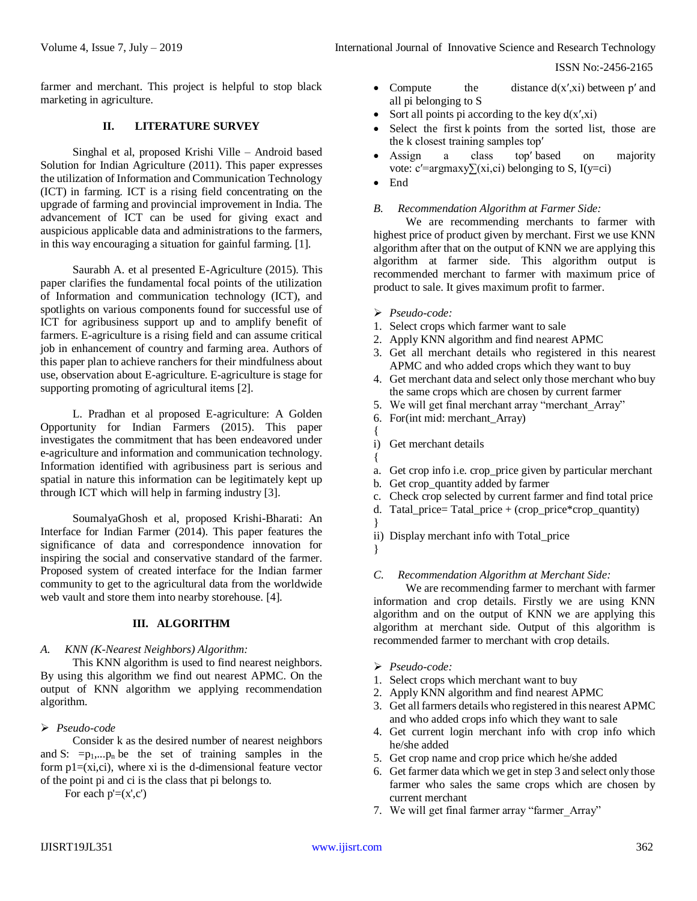ISSN No:-2456-2165

farmer and merchant. This project is helpful to stop black marketing in agriculture.

## **II. LITERATURE SURVEY**

Singhal et al, proposed Krishi Ville – Android based Solution for Indian Agriculture (2011). This paper expresses the utilization of Information and Communication Technology (ICT) in farming. ICT is a rising field concentrating on the upgrade of farming and provincial improvement in India. The advancement of ICT can be used for giving exact and auspicious applicable data and administrations to the farmers, in this way encouraging a situation for gainful farming. [1].

Saurabh A. et al presented E-Agriculture (2015). This paper clarifies the fundamental focal points of the utilization of Information and communication technology (ICT), and spotlights on various components found for successful use of ICT for agribusiness support up and to amplify benefit of farmers. E-agriculture is a rising field and can assume critical job in enhancement of country and farming area. Authors of this paper plan to achieve ranchers for their mindfulness about use, observation about E-agriculture. E-agriculture is stage for supporting promoting of agricultural items [2].

L. Pradhan et al proposed E-agriculture: A Golden Opportunity for Indian Farmers (2015). This paper investigates the commitment that has been endeavored under e-agriculture and information and communication technology. Information identified with agribusiness part is serious and spatial in nature this information can be legitimately kept up through ICT which will help in farming industry [3].

SoumalyaGhosh et al, proposed Krishi-Bharati: An Interface for Indian Farmer (2014). This paper features the significance of data and correspondence innovation for inspiring the social and conservative standard of the farmer. Proposed system of created interface for the Indian farmer community to get to the agricultural data from the worldwide web vault and store them into nearby storehouse. [4].

## **III. ALGORITHM**

#### *A. KNN (K-Nearest Neighbors) Algorithm:*

This KNN algorithm is used to find nearest neighbors. By using this algorithm we find out nearest APMC. On the output of KNN algorithm we applying recommendation algorithm.

## *Pseudo-code*

Consider k as the desired number of nearest neighbors and S:  $=p_1,...p_n$  be the set of training samples in the form  $p1=(xi, ci)$ , where xi is the d-dimensional feature vector of the point pi and ci is the class that pi belongs to.

For each  $p'=(x',c')$ 

- Compute the distance  $d(x',x_i)$  between p' and all pi belonging to S
- Sort all points pi according to the key  $d(x',x_i)$
- Select the first k points from the sorted list, those are the k closest training samples top′
- Assign a class top' based on majority vote: c′=argmaxy $\Sigma(xi, ci)$  belonging to S, I(y=ci)
- End

#### *B. Recommendation Algorithm at Farmer Side:*

We are recommending merchants to farmer with highest price of product given by merchant. First we use KNN algorithm after that on the output of KNN we are applying this algorithm at farmer side. This algorithm output is recommended merchant to farmer with maximum price of product to sale. It gives maximum profit to farmer.

- *Pseudo-code:*
- 1. Select crops which farmer want to sale
- 2. Apply KNN algorithm and find nearest APMC
- 3. Get all merchant details who registered in this nearest APMC and who added crops which they want to buy
- 4. Get merchant data and select only those merchant who buy the same crops which are chosen by current farmer
- 5. We will get final merchant array "merchant Array"
- 6. For(int mid: merchant\_Array)
- { i) Get merchant details
- {
- a. Get crop info i.e. crop\_price given by particular merchant
- b. Get crop\_quantity added by farmer
- c. Check crop selected by current farmer and find total price
- d. Tatal price= Tatal price + (crop price\*crop quantity)
- ii) Display merchant info with Total\_price
- }

}

## *C. Recommendation Algorithm at Merchant Side:*

We are recommending farmer to merchant with farmer information and crop details. Firstly we are using KNN algorithm and on the output of KNN we are applying this algorithm at merchant side. Output of this algorithm is recommended farmer to merchant with crop details.

- *Pseudo-code:*
- 1. Select crops which merchant want to buy
- 2. Apply KNN algorithm and find nearest APMC
- 3. Get all farmers details who registered in this nearest APMC and who added crops info which they want to sale
- 4. Get current login merchant info with crop info which he/she added
- 5. Get crop name and crop price which he/she added
- 6. Get farmer data which we get in step 3 and select only those farmer who sales the same crops which are chosen by current merchant
- 7. We will get final farmer array "farmer\_Array"